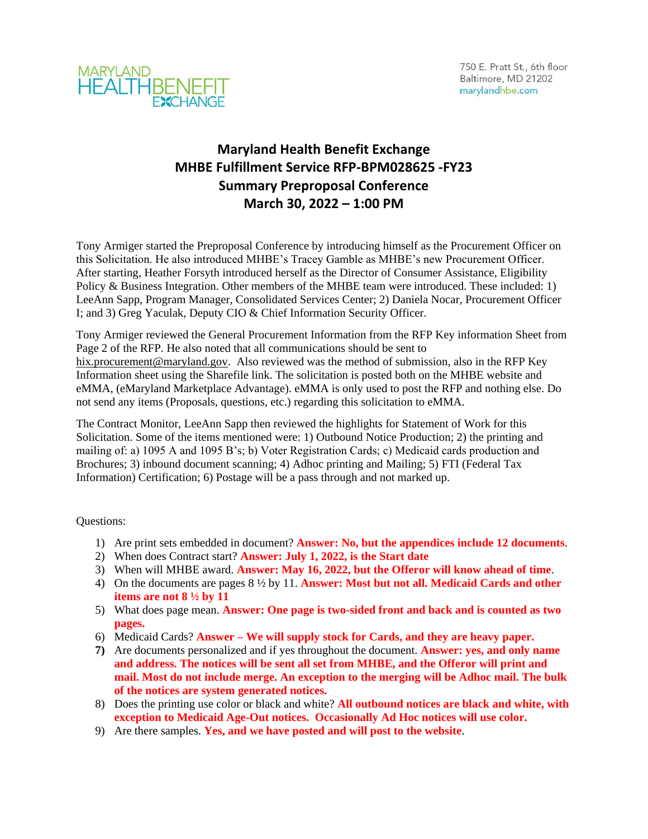



## **Maryland Health Benefit Exchange MHBE Fulfillment Service RFP-BPM028625 -FY23 Summary Preproposal Conference March 30, 2022 – 1:00 PM**

Tony Armiger started the Preproposal Conference by introducing himself as the Procurement Officer on this Solicitation. He also introduced MHBE's Tracey Gamble as MHBE's new Procurement Officer. After starting, Heather Forsyth introduced herself as the Director of Consumer Assistance, Eligibility Policy & Business Integration. Other members of the MHBE team were introduced. These included: 1) LeeAnn Sapp, Program Manager, Consolidated Services Center; 2) Daniela Nocar, Procurement Officer I; and 3) Greg Yaculak, Deputy CIO & Chief Information Security Officer.

Tony Armiger reviewed the General Procurement Information from the RFP Key information Sheet from Page 2 of the RFP. He also noted that all communications should be sent to [hix.procurement@maryland.gov.](mailto:hix.procurement@maryland.gov) Also reviewed was the method of submission, also in the RFP Key Information sheet using the Sharefile link. The solicitation is posted both on the MHBE website and eMMA, (eMaryland Marketplace Advantage). eMMA is only used to post the RFP and nothing else. Do not send any items (Proposals, questions, etc.) regarding this solicitation to eMMA.

The Contract Monitor, LeeAnn Sapp then reviewed the highlights for Statement of Work for this Solicitation. Some of the items mentioned were: 1) Outbound Notice Production; 2) the printing and mailing of: a) 1095 A and 1095 B's; b) Voter Registration Cards; c) Medicaid cards production and Brochures; 3) inbound document scanning; 4) Adhoc printing and Mailing; 5) FTI (Federal Tax Information) Certification; 6) Postage will be a pass through and not marked up.

Questions:

- 1) Are print sets embedded in document? **Answer: No, but the appendices include 12 documents**.
- 2) When does Contract start? **Answer: July 1, 2022, is the Start date**
- 3) When will MHBE award. **Answer: May 16, 2022, but the Offeror will know ahead of time**.
- 4) On the documents are pages 8 ½ by 11. **Answer: Most but not all. Medicaid Cards and other items are not 8 ½ by 11**
- 5) What does page mean. **Answer: One page is two-sided front and back and is counted as two pages.**
- 6) Medicaid Cards? **Answer – We will supply stock for Cards, and they are heavy paper.**
- **7)** Are documents personalized and if yes throughout the document. **Answer: yes, and only name and address. The notices will be sent all set from MHBE, and the Offeror will print and mail. Most do not include merge. An exception to the merging will be Adhoc mail. The bulk of the notices are system generated notices.**
- 8) Does the printing use color or black and white? **All outbound notices are black and white, with exception to Medicaid Age-Out notices. Occasionally Ad Hoc notices will use color.**
- 9) Are there samples. **Yes, and we have posted and will post to the website**.